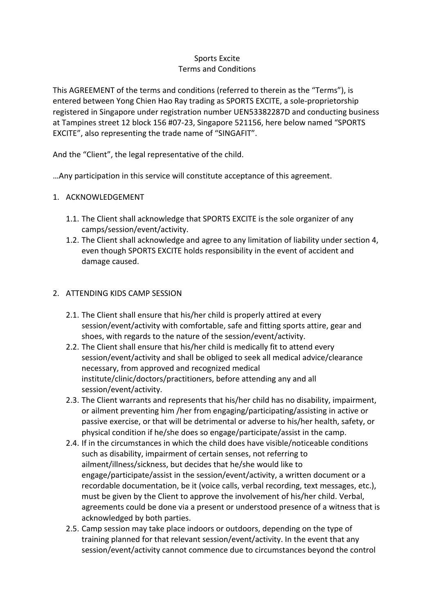# Sports Excite Terms and Conditions

This AGREEMENT of the terms and conditions (referred to therein as the "Terms"), is entered between Yong Chien Hao Ray trading as SPORTS EXCITE, a sole-proprietorship registered in Singapore under registration number UEN53382287D and conducting business at Tampines street 12 block 156 #07-23, Singapore 521156, here below named "SPORTS EXCITE", also representing the trade name of "SINGAFIT".

And the "Client", the legal representative of the child.

…Any participation in this service will constitute acceptance of this agreement.

# 1. ACKNOWLEDGEMENT

- 1.1. The Client shall acknowledge that SPORTS EXCITE is the sole organizer of any camps/session/event/activity.
- 1.2. The Client shall acknowledge and agree to any limitation of liability under section 4, even though SPORTS EXCITE holds responsibility in the event of accident and damage caused.

## 2. ATTENDING KIDS CAMP SESSION

- 2.1. The Client shall ensure that his/her child is properly attired at every session/event/activity with comfortable, safe and fitting sports attire, gear and shoes, with regards to the nature of the session/event/activity.
- 2.2. The Client shall ensure that his/her child is medically fit to attend every session/event/activity and shall be obliged to seek all medical advice/clearance necessary, from approved and recognized medical institute/clinic/doctors/practitioners, before attending any and all session/event/activity.
- 2.3. The Client warrants and represents that his/her child has no disability, impairment, or ailment preventing him /her from engaging/participating/assisting in active or passive exercise, or that will be detrimental or adverse to his/her health, safety, or physical condition if he/she does so engage/participate/assist in the camp.
- 2.4. If in the circumstances in which the child does have visible/noticeable conditions such as disability, impairment of certain senses, not referring to ailment/illness/sickness, but decides that he/she would like to engage/participate/assist in the session/event/activity, a written document or a recordable documentation, be it (voice calls, verbal recording, text messages, etc.), must be given by the Client to approve the involvement of his/her child. Verbal, agreements could be done via a present or understood presence of a witness that is acknowledged by both parties.
- 2.5. Camp session may take place indoors or outdoors, depending on the type of training planned for that relevant session/event/activity. In the event that any session/event/activity cannot commence due to circumstances beyond the control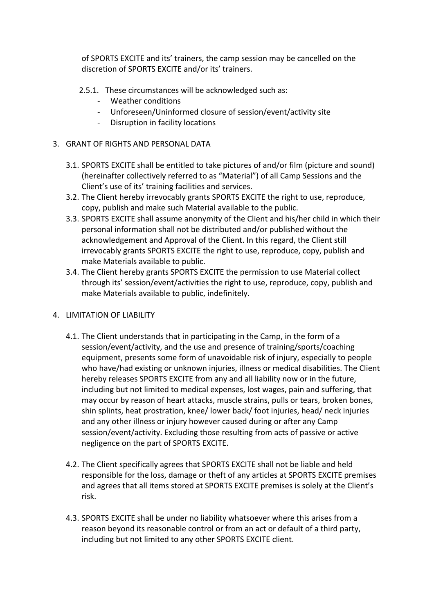of SPORTS EXCITE and its' trainers, the camp session may be cancelled on the discretion of SPORTS EXCITE and/or its' trainers.

- 2.5.1. These circumstances will be acknowledged such as:
	- Weather conditions
	- Unforeseen/Uninformed closure of session/event/activity site
	- Disruption in facility locations

## 3. GRANT OF RIGHTS AND PERSONAL DATA

- 3.1. SPORTS EXCITE shall be entitled to take pictures of and/or film (picture and sound) (hereinafter collectively referred to as "Material") of all Camp Sessions and the Client's use of its' training facilities and services.
- 3.2. The Client hereby irrevocably grants SPORTS EXCITE the right to use, reproduce, copy, publish and make such Material available to the public.
- 3.3. SPORTS EXCITE shall assume anonymity of the Client and his/her child in which their personal information shall not be distributed and/or published without the acknowledgement and Approval of the Client. In this regard, the Client still irrevocably grants SPORTS EXCITE the right to use, reproduce, copy, publish and make Materials available to public.
- 3.4. The Client hereby grants SPORTS EXCITE the permission to use Material collect through its' session/event/activities the right to use, reproduce, copy, publish and make Materials available to public, indefinitely.

# 4. LIMITATION OF LIABILITY

- 4.1. The Client understands that in participating in the Camp, in the form of a session/event/activity, and the use and presence of training/sports/coaching equipment, presents some form of unavoidable risk of injury, especially to people who have/had existing or unknown injuries, illness or medical disabilities. The Client hereby releases SPORTS EXCITE from any and all liability now or in the future, including but not limited to medical expenses, lost wages, pain and suffering, that may occur by reason of heart attacks, muscle strains, pulls or tears, broken bones, shin splints, heat prostration, knee/ lower back/ foot injuries, head/ neck injuries and any other illness or injury however caused during or after any Camp session/event/activity. Excluding those resulting from acts of passive or active negligence on the part of SPORTS EXCITE.
- 4.2. The Client specifically agrees that SPORTS EXCITE shall not be liable and held responsible for the loss, damage or theft of any articles at SPORTS EXCITE premises and agrees that all items stored at SPORTS EXCITE premises is solely at the Client's risk.
- 4.3. SPORTS EXCITE shall be under no liability whatsoever where this arises from a reason beyond its reasonable control or from an act or default of a third party, including but not limited to any other SPORTS EXCITE client.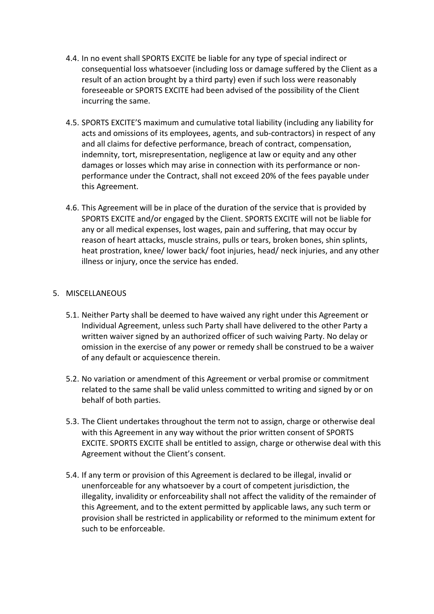- 4.4. In no event shall SPORTS EXCITE be liable for any type of special indirect or consequential loss whatsoever (including loss or damage suffered by the Client as a result of an action brought by a third party) even if such loss were reasonably foreseeable or SPORTS EXCITE had been advised of the possibility of the Client incurring the same.
- 4.5. SPORTS EXCITE'S maximum and cumulative total liability (including any liability for acts and omissions of its employees, agents, and sub-contractors) in respect of any and all claims for defective performance, breach of contract, compensation, indemnity, tort, misrepresentation, negligence at law or equity and any other damages or losses which may arise in connection with its performance or nonperformance under the Contract, shall not exceed 20% of the fees payable under this Agreement.
- 4.6. This Agreement will be in place of the duration of the service that is provided by SPORTS EXCITE and/or engaged by the Client. SPORTS EXCITE will not be liable for any or all medical expenses, lost wages, pain and suffering, that may occur by reason of heart attacks, muscle strains, pulls or tears, broken bones, shin splints, heat prostration, knee/ lower back/ foot injuries, head/ neck injuries, and any other illness or injury, once the service has ended.

## 5. MISCELLANEOUS

- 5.1. Neither Party shall be deemed to have waived any right under this Agreement or Individual Agreement, unless such Party shall have delivered to the other Party a written waiver signed by an authorized officer of such waiving Party. No delay or omission in the exercise of any power or remedy shall be construed to be a waiver of any default or acquiescence therein.
- 5.2. No variation or amendment of this Agreement or verbal promise or commitment related to the same shall be valid unless committed to writing and signed by or on behalf of both parties.
- 5.3. The Client undertakes throughout the term not to assign, charge or otherwise deal with this Agreement in any way without the prior written consent of SPORTS EXCITE. SPORTS EXCITE shall be entitled to assign, charge or otherwise deal with this Agreement without the Client's consent.
- 5.4. If any term or provision of this Agreement is declared to be illegal, invalid or unenforceable for any whatsoever by a court of competent jurisdiction, the illegality, invalidity or enforceability shall not affect the validity of the remainder of this Agreement, and to the extent permitted by applicable laws, any such term or provision shall be restricted in applicability or reformed to the minimum extent for such to be enforceable.